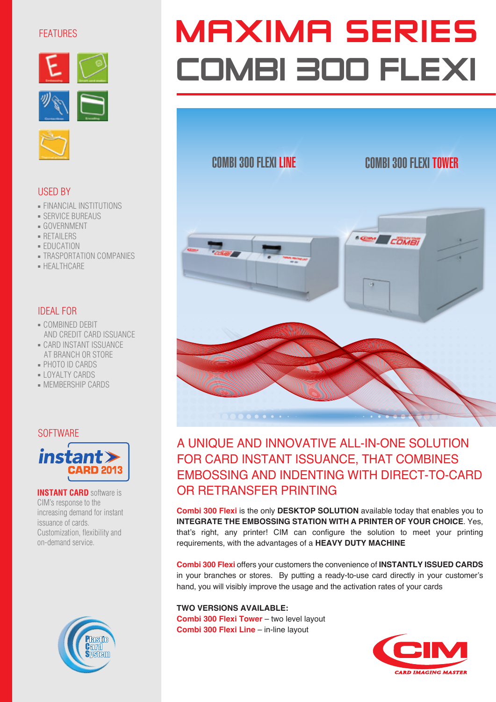## FEATURES





## USED BY

- **FINANCIAL INSTITUTIONS**
- SERVICE BUREAUS
- GOVERNMENT
- RETAILERS
- EDUCATION
- **TRASPORTATION COMPANIES**
- HEALTHCARE

### IDEAL FOR

- COMBINED DEBIT AND CREDIT CARD ISSUANCE
- CARD INSTANT ISSUANCE AT BRANCH OR STORE
- PHOTO ID CARDS
- LOYALTY CARDS
- MEMBERSHIP CARDS

#### **SOFTWARE**



**INSTANT CARD** software is CIM's response to the increasing demand for instant issuance of cards. Customization, flexibility and on-demand service.



# **MAXIMA SERIES** COMBI 300 FLEXI

# COMBI 300 FLEXI LINE COMBI 300 FLEXI TOWER



# A UNIQUE AND INNOVATIVE ALL-IN-ONE SOLUTION FOR CARD INSTANT ISSUANCE, THAT COMBINES EMBOSSING AND INDENTING WITH DIRECT-TO-CARD OR RETRANSFER PRINTING

**Combi 300 Flexi** is the only **DESKTOP SOLUTION** available today that enables you to **INTEGRATE THE EMBOSSING STATION WITH A PRINTER OF YOUR CHOICE**. Yes, that's right, any printer! CIM can configure the solution to meet your printing requirements, with the advantages of a **HEAVY DUTY MACHINE**

**Combi 300 Flexi** offers your customers the convenience of **INSTANTLY ISSUED CARDS** in your branches or stores. By putting a ready-to-use card directly in your customer's hand, you will visibly improve the usage and the activation rates of your cards

#### **TWO VERSIONS AVAILABLE:**

**Combi 300 Flexi Tower** – two level layout **Combi 300 Flexi Line** – in-line layout